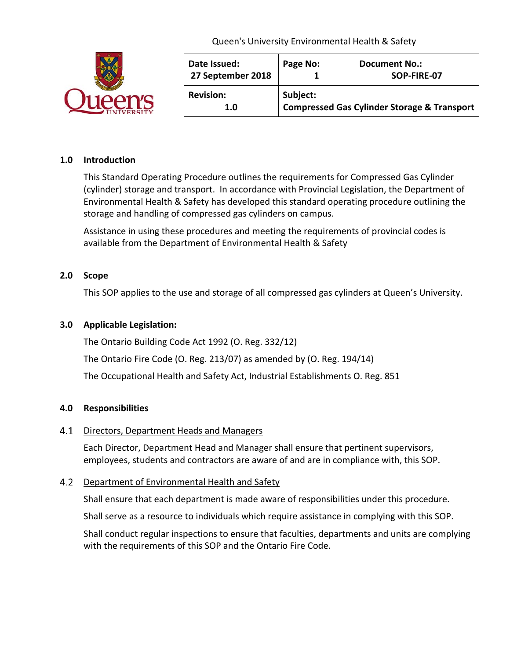|  | Date Issued:<br>27 September 2018 | Page No:                                                           | <b>Document No.:</b><br>SOP-FIRE-07 |
|--|-----------------------------------|--------------------------------------------------------------------|-------------------------------------|
|  | <b>Revision:</b><br>1.0           | Subject:<br><b>Compressed Gas Cylinder Storage &amp; Transport</b> |                                     |

### **1.0 Introduction**

This Standard Operating Procedure outlines the requirements for Compressed Gas Cylinder (cylinder) storage and transport. In accordance with Provincial Legislation, the Department of Environmental Health & Safety has developed this standard operating procedure outlining the storage and handling of compressed gas cylinders on campus.

Assistance in using these procedures and meeting the requirements of provincial codes is available from the Department of Environmental Health & Safety

### **2.0 Scope**

This SOP applies to the use and storage of all compressed gas cylinders at Queen's University.

### **3.0 Applicable Legislation:**

The Ontario Building Code Act 1992 (O. Reg. 332/12)

The Ontario Fire Code (O. Reg. 213/07) as amended by (O. Reg. 194/14)

The Occupational Health and Safety Act, Industrial Establishments O. Reg. 851

### **4.0 Responsibilities**

### 4.1 Directors, Department Heads and Managers

Each Director, Department Head and Manager shall ensure that pertinent supervisors, employees, students and contractors are aware of and are in compliance with, this SOP.

## 4.2 Department of Environmental Health and Safety

Shall ensure that each department is made aware of responsibilities under this procedure.

Shall serve as a resource to individuals which require assistance in complying with this SOP.

Shall conduct regular inspections to ensure that faculties, departments and units are complying with the requirements of this SOP and the Ontario Fire Code.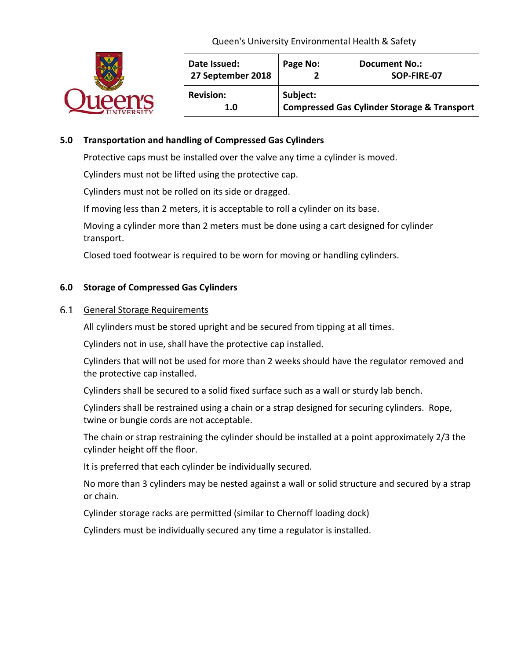

| Date Issued:<br>27 September 2018 | Page No:                                               | <b>Document No.:</b><br>SOP-FIRE-07 |  |  |
|-----------------------------------|--------------------------------------------------------|-------------------------------------|--|--|
| <b>Revision:</b>                  | Subject:                                               |                                     |  |  |
| 1.0                               | <b>Compressed Gas Cylinder Storage &amp; Transport</b> |                                     |  |  |

# **5.0 Transportation and handling of Compressed Gas Cylinders**

Protective caps must be installed over the valve any time a cylinder is moved.

Cylinders must not be lifted using the protective cap.

Cylinders must not be rolled on its side or dragged.

If moving less than 2 meters, it is acceptable to roll a cylinder on its base.

Moving a cylinder more than 2 meters must be done using a cart designed for cylinder transport.

Closed toed footwear is required to be worn for moving or handling cylinders.

## **6.0 Storage of Compressed Gas Cylinders**

### 6.1 General Storage Requirements

All cylinders must be stored upright and be secured from tipping at all times.

Cylinders not in use, shall have the protective cap installed.

Cylinders that will not be used for more than 2 weeks should have the regulator removed and the protective cap installed.

Cylinders shall be secured to a solid fixed surface such as a wall or sturdy lab bench.

Cylinders shall be restrained using a chain or a strap designed for securing cylinders. Rope, twine or bungie cords are not acceptable.

The chain or strap restraining the cylinder should be installed at a point approximately 2/3 the cylinder height off the floor.

It is preferred that each cylinder be individually secured.

No more than 3 cylinders may be nested against a wall or solid structure and secured by a strap or chain.

Cylinder storage racks are permitted (similar to Chernoff loading dock)

Cylinders must be individually secured any time a regulator is installed.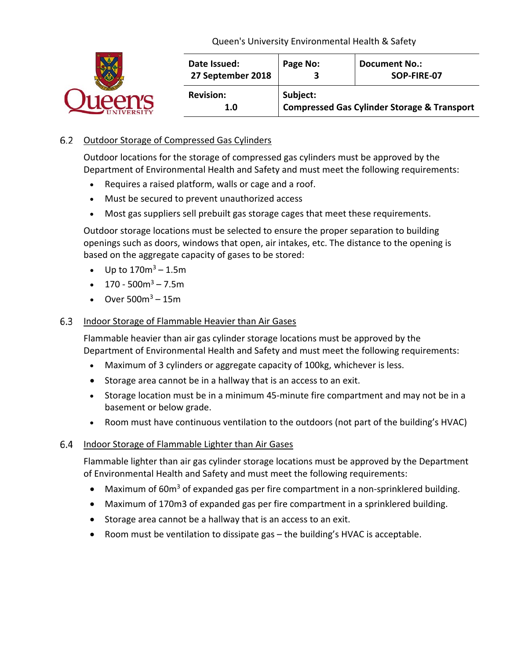

# 6.2 Outdoor Storage of Compressed Gas Cylinders

Outdoor locations for the storage of compressed gas cylinders must be approved by the Department of Environmental Health and Safety and must meet the following requirements:

- Requires a raised platform, walls or cage and a roof.
- Must be secured to prevent unauthorized access
- Most gas suppliers sell prebuilt gas storage cages that meet these requirements.

Outdoor storage locations must be selected to ensure the proper separation to building openings such as doors, windows that open, air intakes, etc. The distance to the opening is based on the aggregate capacity of gases to be stored:

- Up to  $170m^3 1.5m$
- $170 500m^3 7.5m$
- Over  $500m^3 15m$

#### $6.3$ Indoor Storage of Flammable Heavier than Air Gases

Flammable heavier than air gas cylinder storage locations must be approved by the Department of Environmental Health and Safety and must meet the following requirements:

- Maximum of 3 cylinders or aggregate capacity of 100kg, whichever is less.
- Storage area cannot be in a hallway that is an access to an exit.
- Storage location must be in a minimum 45-minute fire compartment and may not be in a basement or below grade.
- Room must have continuous ventilation to the outdoors (not part of the building's HVAC)

#### 6.4 Indoor Storage of Flammable Lighter than Air Gases

Flammable lighter than air gas cylinder storage locations must be approved by the Department of Environmental Health and Safety and must meet the following requirements:

- Maximum of  $60m<sup>3</sup>$  of expanded gas per fire compartment in a non-sprinklered building.
- Maximum of 170m3 of expanded gas per fire compartment in a sprinklered building.
- Storage area cannot be a hallway that is an access to an exit.
- Room must be ventilation to dissipate gas the building's HVAC is acceptable.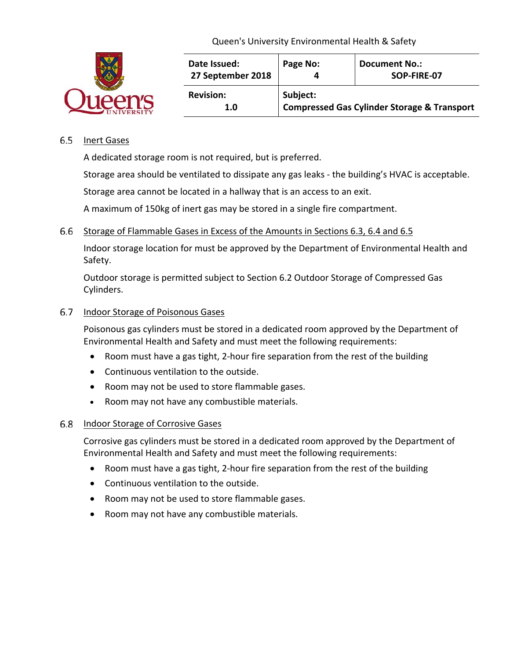|  | Date Issued:<br>27 September 2018 | Page No:                                                           | <b>Document No.:</b><br>SOP-FIRE-07 |
|--|-----------------------------------|--------------------------------------------------------------------|-------------------------------------|
|  | <b>Revision:</b><br>1.0           | Subject:<br><b>Compressed Gas Cylinder Storage &amp; Transport</b> |                                     |

## 6.5 Inert Gases

A dedicated storage room is not required, but is preferred.

Storage area should be ventilated to dissipate any gas leaks - the building's HVAC is acceptable.

Storage area cannot be located in a hallway that is an access to an exit.

A maximum of 150kg of inert gas may be stored in a single fire compartment.

## 6.6 Storage of Flammable Gases in Excess of the Amounts in Sections 6.3, 6.4 and 6.5

Indoor storage location for must be approved by the Department of Environmental Health and Safety.

Outdoor storage is permitted subject to Section 6.2 Outdoor Storage of Compressed Gas Cylinders.

## 6.7 Indoor Storage of Poisonous Gases

Poisonous gas cylinders must be stored in a dedicated room approved by the Department of Environmental Health and Safety and must meet the following requirements:

- Room must have a gas tight, 2-hour fire separation from the rest of the building
- Continuous ventilation to the outside.
- Room may not be used to store flammable gases.
- Room may not have any combustible materials.

## 6.8 Indoor Storage of Corrosive Gases

Corrosive gas cylinders must be stored in a dedicated room approved by the Department of Environmental Health and Safety and must meet the following requirements:

- Room must have a gas tight, 2-hour fire separation from the rest of the building
- Continuous ventilation to the outside.
- Room may not be used to store flammable gases.
- Room may not have any combustible materials.